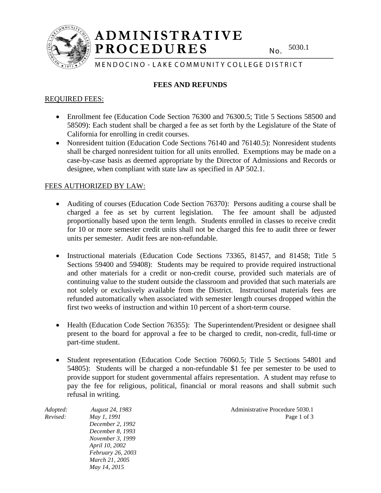

5030.1 $No.$ 

MENDOCINO - LAKE COMMUNITY COLLEGE DISTRICT

ADMINISTRATIVE

**PROCEDURES** 

# **FEES AND REFUNDS**

### REQUIRED FEES:

- Enrollment fee (Education Code Section 76300 and 76300.5; Title 5 Sections 58500 and 58509): Each student shall be charged a fee as set forth by the Legislature of the State of California for enrolling in credit courses.
- Nonresident tuition (Education Code Sections 76140 and 76140.5): Nonresident students shall be charged nonresident tuition for all units enrolled. Exemptions may be made on a case-by-case basis as deemed appropriate by the Director of Admissions and Records or designee, when compliant with state law as specified in AP 502.1.

### FEES AUTHORIZED BY LAW:

- Auditing of courses (Education Code Section 76370): Persons auditing a course shall be charged a fee as set by current legislation. The fee amount shall be adjusted proportionally based upon the term length. Students enrolled in classes to receive credit for 10 or more semester credit units shall not be charged this fee to audit three or fewer units per semester. Audit fees are non-refundable.
- Instructional materials (Education Code Sections 73365, 81457, and 81458; Title 5 Sections 59400 and 59408): Students may be required to provide required instructional and other materials for a credit or non-credit course, provided such materials are of continuing value to the student outside the classroom and provided that such materials are not solely or exclusively available from the District. Instructional materials fees are refunded automatically when associated with semester length courses dropped within the first two weeks of instruction and within 10 percent of a short-term course.
- Health (Education Code Section 76355): The Superintendent/President or designee shall present to the board for approval a fee to be charged to credit, non-credit, full-time or part-time student.
- Student representation (Education Code Section 76060.5; Title 5 Sections 54801 and 54805): Students will be charged a non-refundable \$1 fee per semester to be used to provide support for student governmental affairs representation. A student may refuse to pay the fee for religious, political, financial or moral reasons and shall submit such refusal in writing.

| Adopted: | August 24, 1983          | Administrative Procedure 5030.1 |
|----------|--------------------------|---------------------------------|
| Revised: | May 1, 1991              | Page 1 of 3                     |
|          | December 2, 1992         |                                 |
|          | December 8, 1993         |                                 |
|          | November 3, 1999         |                                 |
|          | <i>April 10, 2002</i>    |                                 |
|          | <i>February</i> 26, 2003 |                                 |
|          | March 21, 2005           |                                 |
|          | May 14, 2015             |                                 |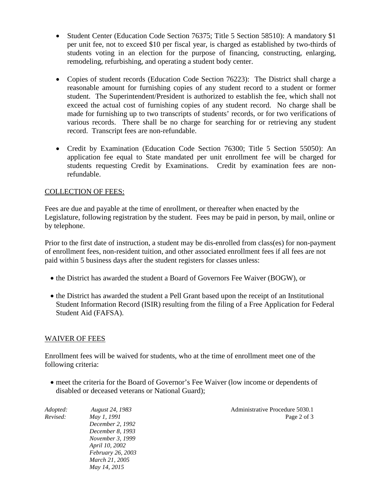- Student Center (Education Code Section 76375; Title 5 Section 58510): A mandatory \$1 per unit fee, not to exceed \$10 per fiscal year, is charged as established by two-thirds of students voting in an election for the purpose of financing, constructing, enlarging, remodeling, refurbishing, and operating a student body center.
- Copies of student records (Education Code Section 76223): The District shall charge a reasonable amount for furnishing copies of any student record to a student or former student. The Superintendent/President is authorized to establish the fee, which shall not exceed the actual cost of furnishing copies of any student record. No charge shall be made for furnishing up to two transcripts of students' records, or for two verifications of various records. There shall be no charge for searching for or retrieving any student record. Transcript fees are non-refundable.
- Credit by Examination (Education Code Section 76300; Title 5 Section 55050): An application fee equal to State mandated per unit enrollment fee will be charged for students requesting Credit by Examinations. Credit by examination fees are nonrefundable.

## COLLECTION OF FEES:

Fees are due and payable at the time of enrollment, or thereafter when enacted by the Legislature, following registration by the student. Fees may be paid in person, by mail, online or by telephone.

Prior to the first date of instruction, a student may be dis-enrolled from class(es) for non-payment of enrollment fees, non-resident tuition, and other associated enrollment fees if all fees are not paid within 5 business days after the student registers for classes unless:

- the District has awarded the student a Board of Governors Fee Waiver (BOGW), or
- the District has awarded the student a Pell Grant based upon the receipt of an Institutional Student Information Record (ISIR) resulting from the filing of a Free Application for Federal Student Aid (FAFSA).

## WAIVER OF FEES

Enrollment fees will be waived for students, who at the time of enrollment meet one of the following criteria:

• meet the criteria for the Board of Governor's Fee Waiver (low income or dependents of disabled or deceased veterans or National Guard);

*December 2, 1992 December 8, 1993 November 3, 1999 April 10, 2002 February 26, 2003 March 21, 2005 May 14, 2015*

*Adopted: August 24, 1983* **Administrative Procedure 5030.1** *Revised: May 1, 1991* **Page 2 of 3**